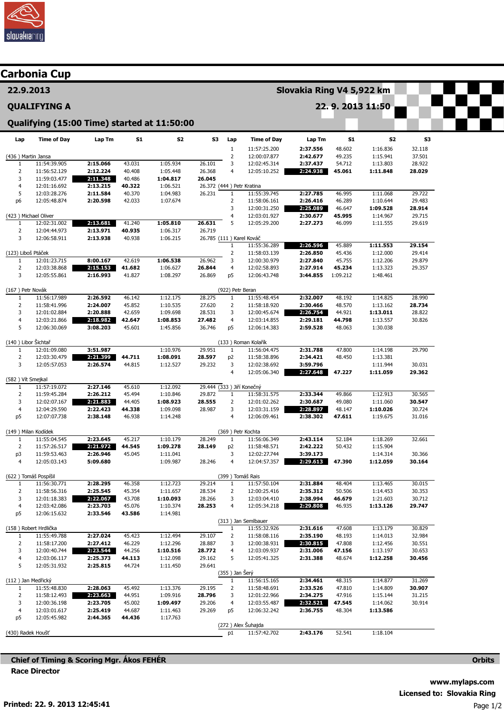

|                                  | Carbonia Cup                                |                      |                  |                      |                                     |                                |                                     |                      |                  |                      |                  |  |  |
|----------------------------------|---------------------------------------------|----------------------|------------------|----------------------|-------------------------------------|--------------------------------|-------------------------------------|----------------------|------------------|----------------------|------------------|--|--|
| 22.9.2013<br><b>QUALIFYING A</b> |                                             |                      |                  |                      |                                     |                                | Slovakia Ring V4 5,922 km           |                      |                  |                      |                  |  |  |
|                                  |                                             |                      |                  |                      |                                     | 22. 9. 2013 11:50              |                                     |                      |                  |                      |                  |  |  |
|                                  | Qualifying (15:00 Time) started at 11:50:00 |                      |                  |                      |                                     |                                |                                     |                      |                  |                      |                  |  |  |
| Lap                              | <b>Time of Day</b>                          | Lap Tm               | <b>S1</b>        | S <sub>2</sub>       | S3                                  | Lap                            | <b>Time of Day</b>                  | Lap Tm               | <b>S1</b>        | S2                   | S3               |  |  |
| (436) Martin Jansa               |                                             |                      |                  |                      |                                     | $1\,$<br>$\overline{2}$        | 11:57:25.200<br>12:00:07.877        | 2:37.556<br>2:42.677 | 48.602<br>49.235 | 1:16.836<br>1:15.941 | 32.118<br>37.501 |  |  |
| 1                                | 11:54:39.905                                | 2:15.066             | 43.031           | 1:05.934             | 26.101                              | 3                              | 12:02:45.314                        | 2:37.437             | 54.712           | 1:13.803             | 28.922           |  |  |
| 2                                | 11:56:52.129                                | 2:12.224             | 40.408           | 1:05.448             | 26.368                              | 4                              | 12:05:10.252                        | 2:24.938             | 45.061           | 1:11.848             | 28.029           |  |  |
| 3                                | 11:59:03.477                                | 2:11.348             | 40.486           | 1:04.817             | 26.045                              |                                |                                     |                      |                  |                      |                  |  |  |
| $\overline{4}$                   | 12:01:16.692                                | 2:13.215             | 40.322           | 1:06.521             | 26.372 (444 ) Petr Kratina          |                                |                                     |                      |                  |                      |                  |  |  |
| 5                                | 12:03:28.276                                | 2:11.584<br>2:20.598 | 40.370           | 1:04.983             | 26.231                              | $\mathbf{1}$<br>$\overline{2}$ | 11:55:39.745                        | 2:27.785<br>2:26.416 | 46.995<br>46.289 | 1:11.068<br>1:10.644 | 29.722<br>29.483 |  |  |
| p <sub>6</sub>                   | 12:05:48.874                                |                      | 42.033           | 1:07.674             |                                     | 3                              | 11:58:06.161<br>12:00:31.250        | 2:25.089             | 46.647           | 1:09.528             | 28.914           |  |  |
| (423) Michael Oliver             |                                             |                      |                  |                      |                                     | 4                              | 12:03:01.927                        | 2:30.677             | 45.995           | 1:14.967             | 29.715           |  |  |
| 1                                | 12:02:31.002                                | 2:13.681             | 41.240           | 1:05.810             | 26.631                              | 5                              | 12:05:29.200                        | 2:27.273             | 46.099           | 1:11.555             | 29.619           |  |  |
| $\overline{2}$                   | 12:04:44.973                                | 2:13.971             | 40.935           | 1:06.317             | 26.719                              |                                |                                     |                      |                  |                      |                  |  |  |
| 3                                | 12:06:58.911                                | 2:13.938             | 40.938           | 1:06.215             | 26.785 (111) Karel Kováč            |                                |                                     |                      |                  |                      |                  |  |  |
|                                  |                                             |                      |                  |                      |                                     | 1                              | 11:55:36.289                        | 2:26.596             | 45.889           | 1:11.553             | 29.154           |  |  |
| (123) Liboš Ptáček               | 12:01:23.715                                |                      | 42.619           | 1:06.538             | 26.962                              | $\overline{2}$                 | 11:58:03.139                        | 2:26.850             | 45.436           | 1:12.000             | 29.414           |  |  |
| $\mathbf{1}$<br>$\overline{2}$   | 12:03:38.868                                | 8:00.167<br>2:15.153 | 41.682           | 1:06.627             | 26.844                              | 3<br>4                         | 12:00:30.979<br>12:02:58.893        | 2:27.840<br>2:27.914 | 45.755<br>45.234 | 1:12.206<br>1:13.323 | 29.879<br>29.357 |  |  |
| 3                                | 12:05:55.861                                | 2:16.993             | 41.827           | 1:08.297             | 26.869                              | p5                             | 12:06:43.748                        | 3:44.855             | 1:09.212         | 1:48.461             |                  |  |  |
|                                  |                                             |                      |                  |                      |                                     |                                |                                     |                      |                  |                      |                  |  |  |
| (167) Petr Novák                 |                                             |                      |                  |                      |                                     | (922) Petr Beran               |                                     |                      |                  |                      |                  |  |  |
| 1                                | 11:56:17.989                                | 2:26.592             | 46.142           | 1:12.175             | 28.275                              | 1                              | 11:55:48.454                        | 2:32.007             | 48.192           | 1:14.825             | 28.990           |  |  |
| $\overline{2}$                   | 11:58:41.996                                | 2:24.007             | 45.852           | 1:10.535             | 27.620                              | $\overline{2}$                 | 11:58:18.920                        | 2:30.466             | 48.570           | 1:13.162             | 28.734           |  |  |
| 3                                | 12:01:02.884                                | 2:20.888             | 42.659           | 1:09.698             | 28.531                              | 3                              | 12:00:45.674                        | 2:26.754             | 44.921           | 1:13.011             | 28.822           |  |  |
| $\overline{4}$                   | 12:03:21.866                                | 2:18.982             | 42.647           | 1:08.853             | 27.482                              | 4                              | 12:03:14.855                        | 2:29.181             | 44.798           | 1:13.557             | 30.826           |  |  |
| 5                                | 12:06:30.069                                | 3:08.203             | 45.601           | 1:45.856             | 36.746                              | p5                             | 12:06:14.383                        | 2:59.528             | 48.063           | 1:30.038             |                  |  |  |
| (140) Libor Šichtař              |                                             |                      |                  |                      |                                     |                                | (133) Roman Kolařík                 |                      |                  |                      |                  |  |  |
| 1                                | 12:01:09.080                                | 3:51.987             |                  | 1:10.976             | 29.951                              | 1                              | 11:56:04.475                        | 2:31.788             | 47.800           | 1:14.198             | 29.790           |  |  |
| $\overline{2}$                   | 12:03:30.479                                | 2:21.399             | 44.711           | 1:08.091             | 28.597                              | p <sub>2</sub>                 | 11:58:38.896                        | 2:34.421             | 48.450           | 1:13.381             |                  |  |  |
| 3                                | 12:05:57.053                                | 2:26.574             | 44.815           | 1:12.527             | 29.232                              | 3                              | 12:02:38.692                        | 3:59.796             |                  | 1:11.944             | 30.031           |  |  |
|                                  |                                             |                      |                  |                      |                                     | $\overline{4}$                 | 12:05:06.340                        | 2:27.648             | 47.227           | 1:11.059             | 29.362           |  |  |
| (582) Vít Smejkal                |                                             |                      |                  |                      |                                     |                                |                                     |                      |                  |                      |                  |  |  |
| 1<br>$\overline{2}$              | 11:57:19.072                                | 2:27.146<br>2:26.212 | 45.610<br>45.494 | 1:12.092             | 29.444 (333) Jiří Konečný<br>29.872 |                                | 11:58:31.575                        | 2:33.344             | 49.866           | 1:12.913             | 30.565           |  |  |
| 3                                | 11:59:45.284<br>12:02:07.167                | 2:21.883             | 44.405           | 1:10.846<br>1:08.923 | 28.555                              | $\mathbf{1}$<br>$\overline{2}$ | 12:01:02.262                        | 2:30.687             | 49.080           | 1:11.060             | 30.547           |  |  |
| $\overline{4}$                   | 12:04:29.590                                | 2:22.423             | 44.338           | 1:09.098             | 28.987                              | 3                              | 12:03:31.159                        | 2:28.897             | 48.147           | 1:10.026             | 30.724           |  |  |
| p <sub>5</sub>                   | 12:07:07.738                                | 2:38.148             | 46.938           | 1:14.248             |                                     | $\overline{4}$                 | 12:06:09.461                        | 2:38.302             | 47.611           | 1:19.675             | 31.016           |  |  |
|                                  |                                             |                      |                  |                      |                                     |                                |                                     |                      |                  |                      |                  |  |  |
| (149) Milan Kodídek              |                                             |                      |                  |                      |                                     | (369) Petr Kochta              |                                     |                      |                  |                      |                  |  |  |
| 1                                | 11:55:04.545                                | 2:23.645             | 45.217           | 1:10.179             | 28.249                              | $\mathbf{1}$                   | 11:56:06.349                        | 2:43.114             | 52.184           | 1:18.269             | 32.661           |  |  |
| 2                                | 11:57:26.517                                | 2:21.972             | 44.545           | 1:09.278             | 28.149                              | p2                             | 11:58:48.571                        | 2:42.222             | 50.432           | 1:15.904             |                  |  |  |
| p3<br>$\overline{4}$             | 11:59:53.463<br>12:05:03.143                | 2:26.946<br>5:09.680 | 45.045           | 1:11.041             | 28.246                              | 3<br>4                         | 12:02:27.744                        | 3:39.173<br>2:29.613 | 47.390           | 1:14.314             | 30.366           |  |  |
|                                  |                                             |                      |                  | 1:09.987             |                                     |                                | 12:04:57.357                        |                      |                  | 1:12.059             | 30.164           |  |  |
|                                  | (622) Tomáš Pospíšil                        |                      |                  |                      |                                     | (399) Tomáš Rais               |                                     |                      |                  |                      |                  |  |  |
| $\mathbf{1}$                     | 11:56:30.771                                | 2:28.295             | 46.358           | 1:12.723             | 29.214                              | $\mathbf{1}$                   | 11:57:50.104                        | 2:31.884             | 48.404           | 1:13.465             | 30.015           |  |  |
| $\overline{2}$                   | 11:58:56.316                                | 2:25.545             | 45.354           | 1:11.657             | 28.534                              | $\overline{2}$                 | 12:00:25.416                        | 2:35.312             | 50.506           | 1:14.453             | 30.353           |  |  |
| 3                                | 12:01:18.383                                | 2:22.067             | 43.708           | 1:10.093             | 28.266                              | 3                              | 12:03:04.410                        | 2:38.994             | 46.679           | 1:21.603             | 30.712           |  |  |
| $\overline{4}$                   | 12:03:42.086                                | 2:23.703             | 45.076           | 1:10.374             | 28.253                              | 4                              | 12:05:34.218                        | 2:29.808             | 46.935           | 1:13.126             | 29.747           |  |  |
| p5                               | 12:06:15.632                                | 2:33.546             | 43.586           | 1:14.981             |                                     |                                |                                     |                      |                  |                      |                  |  |  |
|                                  | (158) Robert Hrdlička                       |                      |                  |                      |                                     | $\mathbf{1}$                   | (313) Jan Semlbauer<br>11:55:32.926 | 2:31.616             | 47.608           | 1:13.179             | 30.829           |  |  |
| 1                                | 11:55:49.788                                | 2:27.024             | 45.423           | 1:12.494             | 29.107                              | $\overline{2}$                 | 11:58:08.116                        | 2:35.190             | 48.193           | 1:14.013             | 32.984           |  |  |
| $\overline{2}$                   | 11:58:17.200                                | 2:27.412             | 46.229           | 1:12.296             | 28.887                              | 3                              | 12:00:38.931                        | 2:30.815             | 47.808           | 1:12.456             | 30.551           |  |  |
| 3                                | 12:00:40.744                                | 2:23.544             | 44.256           | 1:10.516             | 28.772                              | 4                              | 12:03:09.937                        | 2:31.006             | 47.156           | 1:13.197             | 30.653           |  |  |
| 4                                | 12:03:06.117                                | 2:25.373             | 44.113           | 1:12.098             | 29.162                              | 5                              | 12:05:41.325                        | 2:31.388             | 48.674           | 1:12.258             | 30.456           |  |  |
| 5                                | 12:05:31.932                                | 2:25.815             | 44.724           | 1:11.450             | 29.641                              |                                |                                     |                      |                  |                      |                  |  |  |
|                                  |                                             |                      |                  |                      |                                     | $(355)$ Jan Šerý               |                                     |                      |                  |                      |                  |  |  |
| (112) Jan Medřický               |                                             |                      |                  |                      |                                     | $\mathbf{1}$                   | 11:56:15.165                        | 2:34.461             | 48.315           | 1:14.877             | 31.269           |  |  |
| 1                                | 11:55:48.830                                | 2:28.063             | 45.492           | 1:13.376             | 29.195                              | $\overline{2}$                 | 11:58:48.691                        | 2:33.526             | 47.810           | 1:14.809             | 30.907           |  |  |
| 2<br>3                           | 11:58:12.493<br>12:00:36.198                | 2:23.663<br>2:23.705 | 44.951<br>45.002 | 1:09.916<br>1:09.497 | 28.796<br>29.206                    | 3<br>4                         | 12:01:22.966<br>12:03:55.487        | 2:34.275<br>2:32.521 | 47.916<br>47.545 | 1:15.144<br>1:14.062 | 31.215<br>30.914 |  |  |
|                                  |                                             | 2:25.419             | 44.687           | 1:11.463             | 29.269                              | p5                             | 12:06:32.242                        | 2:36.755             | 48.304           | 1:13.586             |                  |  |  |
|                                  |                                             |                      |                  |                      |                                     |                                |                                     |                      |                  |                      |                  |  |  |
| $\overline{4}$                   | 12:03:01.617                                |                      |                  |                      |                                     |                                |                                     |                      |                  |                      |                  |  |  |
| p5                               | 12:05:45.982                                | 2:44.365             | 44.436           | 1:17.763             |                                     |                                | (272) Alex Šuhajda                  |                      |                  |                      |                  |  |  |

Chief of Timing & Scoring Mgr. Ákos FEHÉR Race Director

**Orbits**